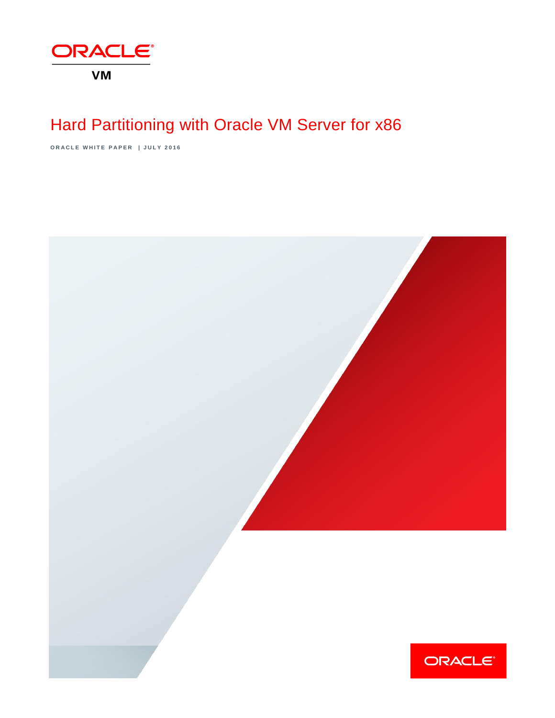

# Hard Partitioning with Oracle VM Server for x86

**O R A C L E W H I T E P A P E R | J U L Y 2 0 1 6**

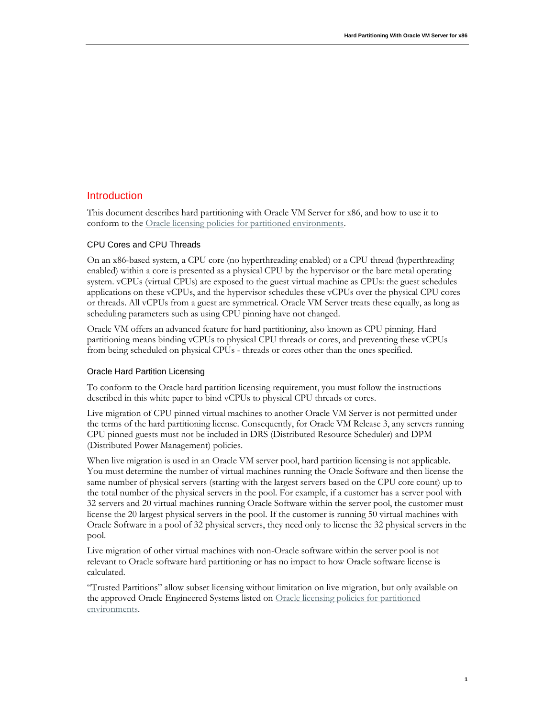#### Introduction

This document describes hard partitioning with Oracle VM Server for x86, and how to use it to conform to the [Oracle licensing policies for partitioned environments.](http://www.oracle.com/us/corporate/pricing/partitioning-070609.pdf)

#### CPU Cores and CPU Threads

On an x86-based system, a CPU core (no hyperthreading enabled) or a CPU thread (hyperthreading enabled) within a core is presented as a physical CPU by the hypervisor or the bare metal operating system. vCPUs (virtual CPUs) are exposed to the guest virtual machine as CPUs: the guest schedules applications on these vCPUs, and the hypervisor schedules these vCPUs over the physical CPU cores or threads. All vCPUs from a guest are symmetrical. Oracle VM Server treats these equally, as long as scheduling parameters such as using CPU pinning have not changed.

Oracle VM offers an advanced feature for hard partitioning, also known as CPU pinning. Hard partitioning means binding vCPUs to physical CPU threads or cores, and preventing these vCPUs from being scheduled on physical CPUs - threads or cores other than the ones specified.

#### Oracle Hard Partition Licensing

To conform to the Oracle hard partition licensing requirement, you must follow the instructions described in this white paper to bind vCPUs to physical CPU threads or cores.

Live migration of CPU pinned virtual machines to another Oracle VM Server is not permitted under the terms of the hard partitioning license. Consequently, for Oracle VM Release 3, any servers running CPU pinned guests must not be included in DRS (Distributed Resource Scheduler) and DPM (Distributed Power Management) policies.

When live migration is used in an Oracle VM server pool, hard partition licensing is not applicable. You must determine the number of virtual machines running the Oracle Software and then license the same number of physical servers (starting with the largest servers based on the CPU core count) up to the total number of the physical servers in the pool. For example, if a customer has a server pool with 32 servers and 20 virtual machines running Oracle Software within the server pool, the customer must license the 20 largest physical servers in the pool. If the customer is running 50 virtual machines with Oracle Software in a pool of 32 physical servers, they need only to license the 32 physical servers in the pool.

Live migration of other virtual machines with non-Oracle software within the server pool is not relevant to Oracle software hard partitioning or has no impact to how Oracle software license is calculated.

"Trusted Partitions" allow subset licensing without limitation on live migration, but only available on the approved Oracle Engineered Systems listed on [Oracle licensing policies for partitioned](http://www.oracle.com/us/corporate/pricing/partitioning-070609.pdf)  [environments.](http://www.oracle.com/us/corporate/pricing/partitioning-070609.pdf)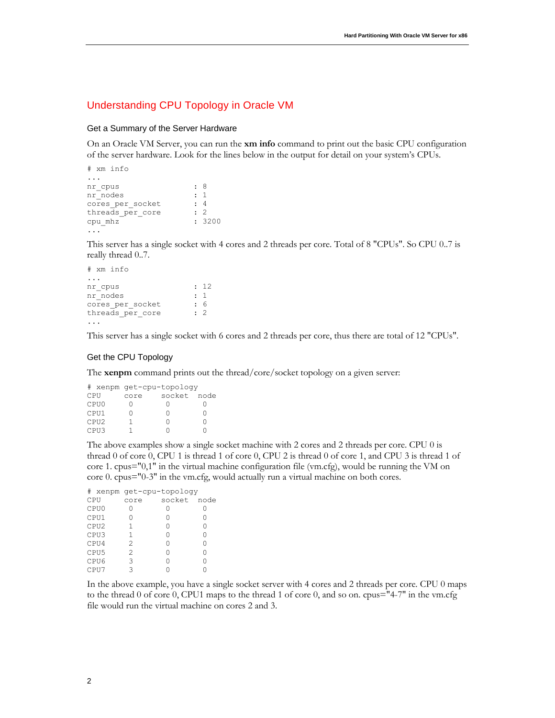#### Understanding CPU Topology in Oracle VM

#### Get a Summary of the Server Hardware

On an Oracle VM Server, you can run the **xm info** command to print out the basic CPU configuration of the server hardware. Look for the lines below in the output for detail on your system's CPUs.

```
# xm info
...
nr_cpus : 8<br>nr nodes : 1
nr_nodes : 1
cores per socket : 4
threads per core : 2
cpu mhz : 3200
...
```
This server has a single socket with 4 cores and 2 threads per core. Total of 8 "CPUs". So CPU 0..7 is really thread 0..7.

```
# xm info
...
nr_cpus : 12<br>nr nodes : 1
nr_nodes : 1
cores per socket : 6
threads per core : 2
...
```
This server has a single socket with 6 cores and 2 threads per core, thus there are total of 12 "CPUs".

#### Get the CPU Topology

The **xenpm** command prints out the thread/core/socket topology on a given server:

|     |                  | # xenpm get-cpu-topology |        |      |  |  |  |  |  |
|-----|------------------|--------------------------|--------|------|--|--|--|--|--|
| CPU |                  | core                     | socket | node |  |  |  |  |  |
|     | CPU0             |                          |        |      |  |  |  |  |  |
|     | CPU1             |                          |        |      |  |  |  |  |  |
|     | CPU <sub>2</sub> |                          | 0      |      |  |  |  |  |  |
|     | CPU3             |                          |        |      |  |  |  |  |  |

The above examples show a single socket machine with 2 cores and 2 threads per core. CPU 0 is thread 0 of core 0, CPU 1 is thread 1 of core 0, CPU 2 is thread 0 of core 1, and CPU 3 is thread 1 of core 1. cpus="0,1" in the virtual machine configuration file (vm.cfg), would be running the VM on core 0. cpus="0-3" in the vm.cfg, would actually run a virtual machine on both cores.

|     |                  | # xenpm get-cpu-topology |        |      |  |  |  |  |  |
|-----|------------------|--------------------------|--------|------|--|--|--|--|--|
| CPU |                  | core                     | socket | node |  |  |  |  |  |
|     | CPU0             |                          |        |      |  |  |  |  |  |
|     | CPU1             |                          |        | O    |  |  |  |  |  |
|     | CPU <sub>2</sub> | 1                        | Λ      | Ω    |  |  |  |  |  |
|     | CPU3             | 1                        | Λ      | Ω    |  |  |  |  |  |
|     | CPU4             | 2                        |        | Ω    |  |  |  |  |  |
|     | CPU <sub>5</sub> | 2                        |        | Ω    |  |  |  |  |  |
|     | CPU6             | 3                        |        | Λ    |  |  |  |  |  |
|     | CPU7             |                          |        |      |  |  |  |  |  |

In the above example, you have a single socket server with 4 cores and 2 threads per core. CPU 0 maps to the thread 0 of core 0, CPU1 maps to the thread 1 of core 0, and so on. cpus="4-7" in the vm.cfg file would run the virtual machine on cores 2 and 3.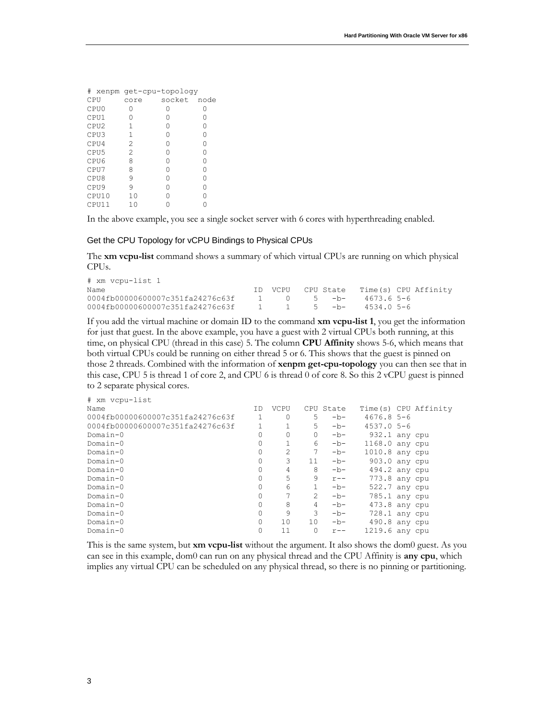|     |                  | # xenpm get-cpu-topology |                  |      |  |  |  |  |  |
|-----|------------------|--------------------------|------------------|------|--|--|--|--|--|
| CPU |                  | core                     | socket           | node |  |  |  |  |  |
|     | CPU0             | 0                        | $\left( \right)$ | O    |  |  |  |  |  |
|     | CPU1             | Ω                        | Ω                | 0    |  |  |  |  |  |
|     | CPU <sub>2</sub> | 1                        | Ω                | Ω    |  |  |  |  |  |
|     | CPU3             | 1                        | Ω                | Ω    |  |  |  |  |  |
|     | CPU4             | 2                        | Ω                | 0    |  |  |  |  |  |
|     | CPU <sub>5</sub> | 2                        | Ω                | Ω    |  |  |  |  |  |
|     | CPU6             | 8                        | Λ                | Ω    |  |  |  |  |  |
|     | CPU <sub>7</sub> | 8                        | Λ                | Λ    |  |  |  |  |  |
|     | CPU8             | 9                        | Ω                | Ω    |  |  |  |  |  |
|     | CPU <sub>9</sub> | 9                        | Λ                | Ω    |  |  |  |  |  |
|     | CPU10            | 10                       |                  |      |  |  |  |  |  |
|     | CPU11            | 10                       |                  |      |  |  |  |  |  |

In the above example, you see a single socket server with 6 cores with hyperthreading enabled.

#### Get the CPU Topology for vCPU Bindings to Physical CPUs

The **xm vcpu-list** command shows a summary of which virtual CPUs are running on which physical CPUs.

| # xm vcpu-list 1                                         |  |  |                                        |  |
|----------------------------------------------------------|--|--|----------------------------------------|--|
| Name                                                     |  |  | ID VCPU CPU State Time(s) CPU Affinity |  |
| 0004fb00000600007c351fa24276c63f                         |  |  | $1 \t 0 \t 5 - b - 4673.65 - 6$        |  |
| 0004fb00000600007c351fa24276c63f  1  1  5 -b- 4534.0 5-6 |  |  |                                        |  |

If you add the virtual machine or domain ID to the command **xm vcpu-list 1**, you get the information for just that guest. In the above example, you have a guest with 2 virtual CPUs both running, at this time, on physical CPU (thread in this case) 5. The column **CPU Affinity** shows 5-6, which means that both virtual CPUs could be running on either thread 5 or 6. This shows that the guest is pinned on those 2 threads. Combined with the information of **xenpm get-cpu-topology** you can then see that in this case, CPU 5 is thread 1 of core 2, and CPU 6 is thread 0 of core 8. So this 2 vCPU guest is pinned to 2 separate physical cores.

| # xm vcpu-list                   |     |                |    |           |                 |                       |
|----------------------------------|-----|----------------|----|-----------|-----------------|-----------------------|
| Name                             | T D | <b>VCPU</b>    |    | CPU State |                 | Time (s) CPU Affinity |
| 0004fb00000600007c351fa24276c63f |     | 0              | 5  | $-b-$     | $4676.85-6$     |                       |
| 0004fb00000600007c351fa24276c63f |     |                | 5. | $-b-$     | $4537.05 - 6$   |                       |
| Domain-0                         |     | 0              | 0  | $-b-$     | $932.1$ any cpu |                       |
| Domain-0                         |     |                | 6  | $-b-$     | 1168.0 any cpu  |                       |
| Domain-0                         | 0   | $\mathfrak{D}$ | 7  | $-b-$     | 1010.8 any cpu  |                       |
| Domain-0                         |     | 3              | 11 | $-b-$     | 903.0 any cpu   |                       |
| Domain-0                         |     | 4              | 8  | $-b-$     | 494.2 any cpu   |                       |
| Domain-0                         |     | 5              | 9  | $r$ – –   | 773.8 any cpu   |                       |
| Domain-0                         |     | 6              |    | $-b-$     | 522.7 any cpu   |                       |
| Domain-0                         | O   |                | 2  | $-b-$     | 785.1 any cpu   |                       |
| Domain-0                         |     | 8              | 4  | $-b-$     | 473.8 any cpu   |                       |
| Domain-0                         |     | 9              | 3  | $-b-$     | $728.1$ any cpu |                       |
| Domain-0                         | O   | 10             | 10 | $-b-$     | 490.8 any cpu   |                       |
| Domain-0                         |     | 11             | 0  | $r - -$   | 1219.6 any cpu  |                       |

This is the same system, but **xm vcpu-list** without the argument. It also shows the dom0 guest. As you can see in this example, dom0 can run on any physical thread and the CPU Affinity is **any cpu**, which implies any virtual CPU can be scheduled on any physical thread, so there is no pinning or partitioning.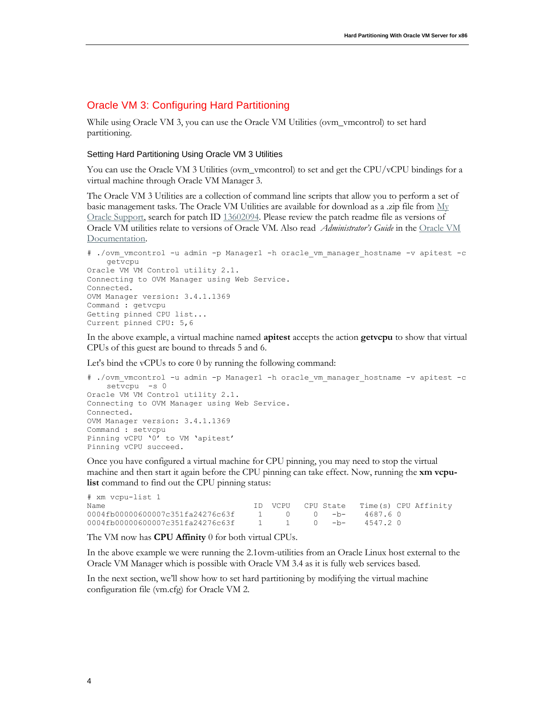#### Oracle VM 3: Configuring Hard Partitioning

While using Oracle VM 3, you can use the Oracle VM Utilities (ovm\_vmcontrol) to set hard partitioning.

#### Setting Hard Partitioning Using Oracle VM 3 Utilities

You can use the Oracle VM 3 Utilities (ovm\_vmcontrol) to set and get the CPU/vCPU bindings for a virtual machine through Oracle VM Manager 3.

The Oracle VM 3 Utilities are a collection of command line scripts that allow you to perform a set of basic management tasks. The Oracle VM Utilities are available for download as a .zip file from  $\mathbf{M}_V$ [Oracle Support,](http://support.oracle.com/) search for patch ID [13602094.](https://updates.oracle.com/Orion/PatchDetails/process_form?patch_num=13602094) Please review the patch readme file as versions of Oracle VM utilities relate to versions of Oracle VM. Also read *Administrator's Guide* in the [Oracle VM](http://www.oracle.com/technetwork/documentation/vm-096300.html)  [Documentation.](http://www.oracle.com/technetwork/documentation/vm-096300.html)

```
# ./ovm_vmcontrol -u admin -p Manager1 -h oracle_vm_manager_hostname -v apitest -c 
    getvcpu
Oracle VM VM Control utility 2.1.
Connecting to OVM Manager using Web Service.
Connected.
OVM Manager version: 3.4.1.1369
Command : getvcpu
Getting pinned CPU list...
Current pinned CPU: 5,6
```
In the above example, a virtual machine named **apitest** accepts the action **getvcpu** to show that virtual CPUs of this guest are bound to threads 5 and 6.

Let's bind the vCPUs to core 0 by running the following command:

```
# ./ovm vmcontrol -u admin -p Manager1 -h oracle vm manager hostname -v apitest -c
    setvcpu -s 0
Oracle VM VM Control utility 2.1.
Connecting to OVM Manager using Web Service.
Connected.
OVM Manager version: 3.4.1.1369
Command : setvcpu
Pinning vCPU '0' to VM 'apitest'
Pinning vCPU succeed.
```
Once you have configured a virtual machine for CPU pinning, you may need to stop the virtual machine and then start it again before the CPU pinning can take effect. Now, running the **xm vcpulist** command to find out the CPU pinning status:

| # xm vcpu-list 1                 |                       |                       |                                        |  |
|----------------------------------|-----------------------|-----------------------|----------------------------------------|--|
| Name                             |                       |                       | ID VCPU CPU State Time(s) CPU Affinity |  |
| 0004fb00000600007c351fa24276c63f | 1 0 0 <del>-</del> h- |                       | 4687.60                                |  |
| 0004fb00000600007c351fa24276c63f |                       | 1 1 0 <del>-</del> h- | 4547.20                                |  |

The VM now has **CPU Affinity** 0 for both virtual CPUs.

In the above example we were running the 2.1ovm-utilities from an Oracle Linux host external to the Oracle VM Manager which is possible with Oracle VM 3.4 as it is fully web services based.

In the next section, we'll show how to set hard partitioning by modifying the virtual machine configuration file (vm.cfg) for Oracle VM 2.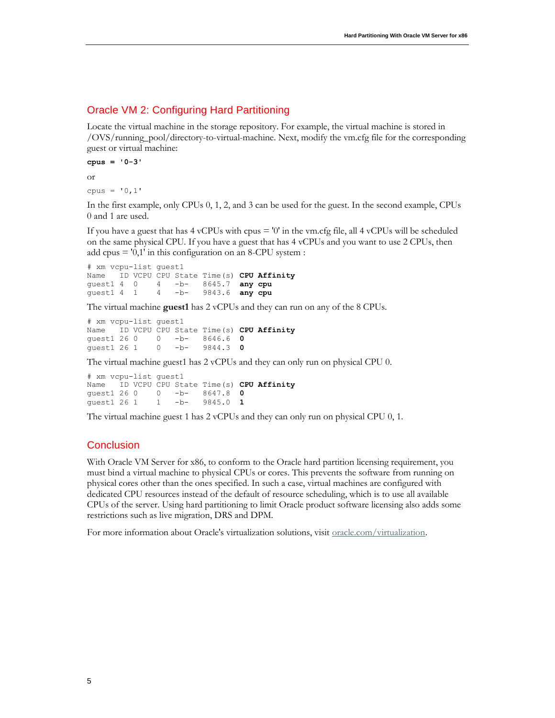#### Oracle VM 2: Configuring Hard Partitioning

Locate the virtual machine in the storage repository. For example, the virtual machine is stored in /OVS/running\_pool/directory-to-virtual-machine. Next, modify the vm.cfg file for the corresponding guest or virtual machine:

```
cpus = '0-3' 
or 
cpus = '0,1'
```
In the first example, only CPUs 0, 1, 2, and 3 can be used for the guest. In the second example, CPUs 0 and 1 are used.

If you have a guest that has  $4 \text{ vCPUs}$  with  $cpus = '0'$  in the vm.cfg file, all  $4 \text{ vCPUs}$  will be scheduled on the same physical CPU. If you have a guest that has 4 vCPUs and you want to use 2 CPUs, then add cpus = '0,1' in this configuration on an 8-CPU system :

# xm vcpu-list guest1 Name ID VCPU CPU State Time(s) **CPU Affinity** guest1 4 0 4 -b- 8645.7 **any cpu** 4 -b- 9843.6 **any cpu** 

The virtual machine **guest1** has 2 vCPUs and they can run on any of the 8 CPUs.

# xm vcpu-list guest1 Name ID VCPU CPU State Time(s) **CPU Affinity** guest1 26 0 0 -b- 8646.6 **0**  guest1 26 1 0 -b- 9844.3 **0** 

The virtual machine guest1 has 2 vCPUs and they can only run on physical CPU 0.

# xm vcpu-list guest1 Name ID VCPU CPU State Time(s) **CPU Affinity**<br>guest1 26 0 0 -b- 8647.8 0 0 -bguest1 26 1 1 -b- 9845.0 **1** 

The virtual machine guest 1 has 2 vCPUs and they can only run on physical CPU 0, 1.

### **Conclusion**

With Oracle VM Server for x86, to conform to the Oracle hard partition licensing requirement, you must bind a virtual machine to physical CPUs or cores. This prevents the software from running on physical cores other than the ones specified. In such a case, virtual machines are configured with dedicated CPU resources instead of the default of resource scheduling, which is to use all available CPUs of the server. Using hard partitioning to limit Oracle product software licensing also adds some restrictions such as live migration, DRS and DPM.

For more information about Oracle's virtualization solutions, visit <u>oracle.com/virtualization</u>.